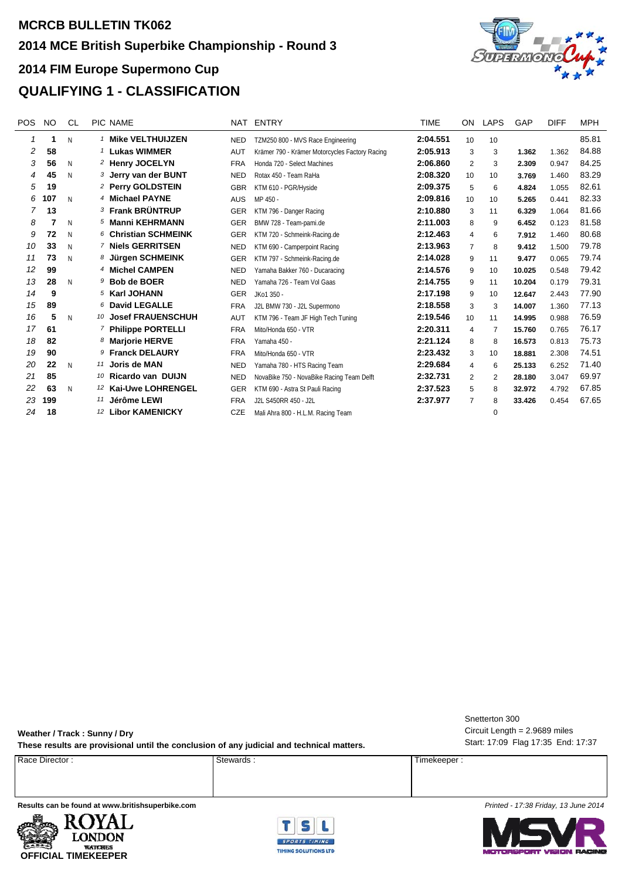## **MCRCB BULLETIN TK062 2014 FIM Europe Supermono Cup 2014 MCE British Superbike Championship - Round 3 QUALIFYING 1 - CLASSIFICATION**



| POS | <b>NO</b> | <b>CL</b> | PIC NAME                       | NAT        | ENTRY                                          | TIME     | ON             | LAPS     | GAP    | <b>DIFF</b> | <b>MPH</b> |
|-----|-----------|-----------|--------------------------------|------------|------------------------------------------------|----------|----------------|----------|--------|-------------|------------|
|     | 1         | N         | <sup>1</sup> Mike VELTHUIJZEN  | <b>NED</b> | TZM250 800 - MVS Race Engineering              | 2:04.551 | 10             | 10       |        |             | 85.81      |
| 2   | 58        |           | <sup>1</sup> Lukas WIMMER      | <b>AUT</b> | Krämer 790 - Krämer Motorcycles Factory Racing | 2:05.913 | 3              | 3        | 1.362  | 1.362       | 84.88      |
| 3   | 56        | N         | 2 Henry JOCELYN                | <b>FRA</b> | Honda 720 - Select Machines                    | 2:06.860 | 2              | 3        | 2.309  | 0.947       | 84.25      |
| 4   | 45        | N         | 3 Jerry van der BUNT           | <b>NED</b> | Rotax 450 - Team RaHa                          | 2:08.320 | 10             | 10       | 3.769  | 1.460       | 83.29      |
| 5   | 19        |           | <sup>2</sup> Perry GOLDSTEIN   | <b>GBR</b> | KTM 610 - PGR/Hyside                           | 2:09.375 | 5              | 6        | 4.824  | 1.055       | 82.61      |
| 6   | 107       | N         | 4 Michael PAYNE                | <b>AUS</b> | MP 450 -                                       | 2:09.816 | 10             | 10       | 5.265  | 0.441       | 82.33      |
|     | 13        |           | <b>3 Frank BRÜNTRUP</b>        | <b>GER</b> | KTM 796 - Danger Racing                        | 2:10.880 | 3              | 11       | 6.329  | 1.064       | 81.66      |
| 8   |           | N         | 5 Manni KEHRMANN               | <b>GER</b> | BMW 728 - Team-pami.de                         | 2:11.003 | 8              | 9        | 6.452  | 0.123       | 81.58      |
| 9   | 72        | N         | 6 Christian SCHMEINK           | <b>GER</b> | KTM 720 - Schmeink-Racing.de                   | 2:12.463 | 4              | 6        | 7.912  | 1.460       | 80.68      |
| 10  | 33        | N         | <sup>7</sup> Niels GERRITSEN   | <b>NED</b> | KTM 690 - Camperpoint Racing                   | 2:13.963 | $\overline{7}$ | 8        | 9.412  | 1.500       | 79.78      |
| 11  | 73        | N         | 8 Jürgen SCHMEINK              | <b>GER</b> | KTM 797 - Schmeink-Racing.de                   | 2:14.028 | 9              | 11       | 9.477  | 0.065       | 79.74      |
| 12  | 99        |           | 4 Michel CAMPEN                | <b>NED</b> | Yamaha Bakker 760 - Ducaracing                 | 2:14.576 | 9              | 10       | 10.025 | 0.548       | 79.42      |
| 13  | 28        | N         | $9$ Bob de BOER                | <b>NED</b> | Yamaha 726 - Team Vol Gaas                     | 2:14.755 | 9              | 11       | 10.204 | 0.179       | 79.31      |
| 14  | 9         |           | <sup>5</sup> Karl JOHANN       | <b>GER</b> | JKo1 350 -                                     | 2:17.198 | 9              | 10       | 12.647 | 2.443       | 77.90      |
| 15  | 89        |           | 6 David LEGALLE                | <b>FRA</b> | J2L BMW 730 - J2L Supermono                    | 2:18.558 | 3              | 3        | 14.007 | 1.360       | 77.13      |
| 16  | 5         | N         | 10 Josef FRAUENSCHUH           | <b>AUT</b> | KTM 796 - Team JF High Tech Tuning             | 2:19.546 | 10             | 11       | 14.995 | 0.988       | 76.59      |
| 17  | 61        |           | <sup>7</sup> Philippe PORTELLI | <b>FRA</b> | Mito/Honda 650 - VTR                           | 2:20.311 | 4              | 7        | 15.760 | 0.765       | 76.17      |
| 18  | 82        |           | 8 Marjorie HERVE               | <b>FRA</b> | Yamaha 450 -                                   | 2:21.124 | 8              | 8        | 16.573 | 0.813       | 75.73      |
| 19  | 90        |           | 9 Franck DELAURY               | <b>FRA</b> | Mito/Honda 650 - VTR                           | 2:23.432 | 3              | 10       | 18,881 | 2.308       | 74.51      |
| 20  | 22        | N         | 11 Joris de MAN                | <b>NED</b> | Yamaha 780 - HTS Racing Team                   | 2:29.684 | 4              | 6        | 25.133 | 6.252       | 71.40      |
| 21  | 85        |           | <b>Ricardo van DUIJN</b><br>10 | <b>NED</b> | NovaBike 750 - NovaBike Racing Team Delft      | 2:32.731 | $\overline{2}$ | 2        | 28.180 | 3.047       | 69.97      |
| 22  | 63        | N         | 12 Kai-Uwe LOHRENGEL           | <b>GER</b> | KTM 690 - Astra St Pauli Racing                | 2:37.523 | 5              | 8        | 32.972 | 4.792       | 67.85      |
| 23  | 199       |           | Jérôme LEWI<br>11              | <b>FRA</b> | J2L S450RR 450 - J2L                           | 2:37.977 | $\overline{7}$ | 8        | 33.426 | 0.454       | 67.65      |
| 24  | 18        |           | <b>Libor KAMENICKY</b><br>12   | <b>CZE</b> | Mali Ahra 800 - H.L.M. Racing Team             |          |                | $\Omega$ |        |             |            |

**Weather / Track : Sunny / Dry** These results are provisional until the conclusion of any judicial and technical matters.<br>
These results are provisional until the conclusion of any judicial and technical matters.

Proce Director : Timekeeper : Stewards : Stewards : Timekeeper : Timekeeper :

Circuit Length = 2.9689 miles Snetterton 300





**Results can be found at www.britishsuperbike.com** *Printed - 17:38 Friday, 13 June 2014*

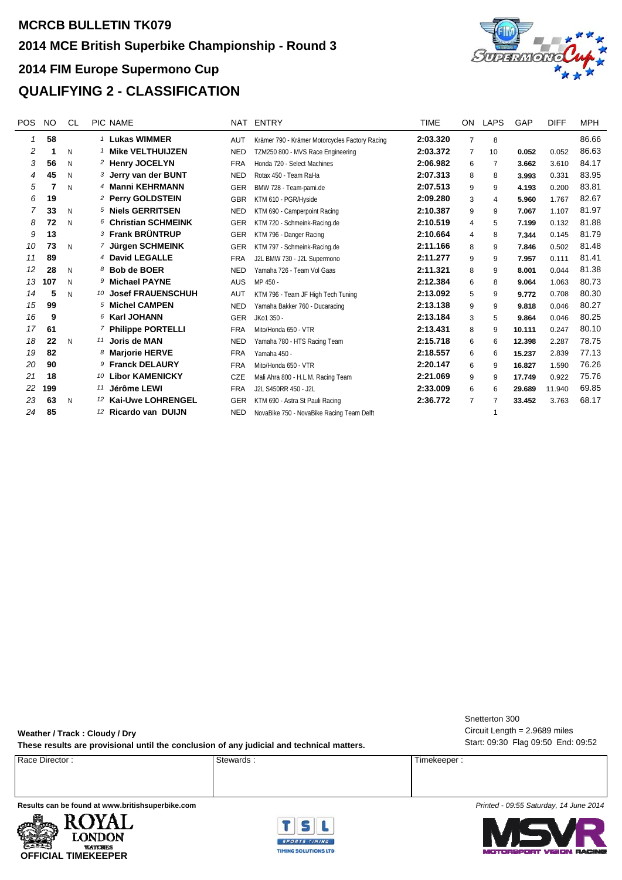

| POS | <b>NO</b> | CL | PIC NAME                        | NAT        | ENTRY                                          | <b>TIME</b> | ON.            | LAPS | GAP    | <b>DIFF</b> | <b>MPH</b> |
|-----|-----------|----|---------------------------------|------------|------------------------------------------------|-------------|----------------|------|--------|-------------|------------|
|     | 58        |    | <sup>1</sup> Lukas WIMMER       | <b>AUT</b> | Krämer 790 - Krämer Motorcycles Factory Racing | 2:03.320    | $\overline{7}$ | 8    |        |             | 86.66      |
| 2   |           | N  | <b>Mike VELTHUIJZEN</b>         | <b>NED</b> | TZM250 800 - MVS Race Engineering              | 2:03.372    | $\overline{7}$ | 10   | 0.052  | 0.052       | 86.63      |
| 3   | 56        | N  | 2 Henry JOCELYN                 | <b>FRA</b> | Honda 720 - Select Machines                    | 2:06.982    | 6              | 7    | 3.662  | 3.610       | 84.17      |
| 4   | 45        | N  | 3 Jerry van der BUNT            | <b>NED</b> | Rotax 450 - Team RaHa                          | 2:07.313    | 8              | 8    | 3.993  | 0.331       | 83.95      |
| 5   |           | N  | 4 Manni KEHRMANN                | <b>GER</b> | BMW 728 - Team-pami.de                         | 2:07.513    | 9              | 9    | 4.193  | 0.200       | 83.81      |
| 6   | 19        |    | <sup>2</sup> Perry GOLDSTEIN    | <b>GBR</b> | KTM 610 - PGR/Hyside                           | 2:09.280    | 3              | 4    | 5.960  | 1.767       | 82.67      |
| 7   | 33        | N  | 5 Niels GERRITSEN               | <b>NED</b> | KTM 690 - Camperpoint Racing                   | 2:10.387    | 9              | 9    | 7.067  | 1.107       | 81.97      |
| 8   | 72        | N  | 6 Christian SCHMEINK            | <b>GER</b> | KTM 720 - Schmeink-Racing.de                   | 2:10.519    | 4              | 5    | 7.199  | 0.132       | 81.88      |
| 9   | 13        |    | <b>3 Frank BRÜNTRUP</b>         | <b>GER</b> | KTM 796 - Danger Racing                        | 2:10.664    | 4              | 8    | 7.344  | 0.145       | 81.79      |
| 10  | 73        | N  | 7 Jürgen SCHMEINK               | <b>GER</b> | KTM 797 - Schmeink-Racing.de                   | 2:11.166    | 8              | 9    | 7.846  | 0.502       | 81.48      |
| 11  | 89        |    | 4 David LEGALLE                 | <b>FRA</b> | J2L BMW 730 - J2L Supermono                    | 2:11.277    | 9              | 9    | 7.957  | 0.111       | 81.41      |
| 12  | 28        | N  | <b>Bob de BOER</b><br>8         | <b>NED</b> | Yamaha 726 - Team Vol Gaas                     | 2:11.321    | 8              | 9    | 8.001  | 0.044       | 81.38      |
| 13  | 107       | N  | 9 Michael PAYNE                 | <b>AUS</b> | MP 450 -                                       | 2:12.384    | 6              | 8    | 9.064  | 1.063       | 80.73      |
| 14  | 5         | N  | 10 Josef FRAUENSCHUH            | AUT        | KTM 796 - Team JF High Tech Tuning             | 2:13.092    | 5              | 9    | 9.772  | 0.708       | 80.30      |
| 15  | 99        |    | 5 Michel CAMPEN                 | <b>NED</b> | Yamaha Bakker 760 - Ducaracing                 | 2:13.138    | 9              | 9    | 9.818  | 0.046       | 80.27      |
| 16  | 9         |    | 6 Karl JOHANN                   | <b>GER</b> | JKo1 350 -                                     | 2:13.184    | 3              | 5    | 9.864  | 0.046       | 80.25      |
| 17  | 61        |    | <sup>7</sup> Philippe PORTELLI  | <b>FRA</b> | Mito/Honda 650 - VTR                           | 2:13.431    | 8              | 9    | 10.111 | 0.247       | 80.10      |
| 18  | 22        | N  | 11 Joris de MAN                 | <b>NED</b> | Yamaha 780 - HTS Racing Team                   | 2:15.718    | 6              | 6    | 12.398 | 2.287       | 78.75      |
| 19  | 82        |    | 8 Marjorie HERVE                | <b>FRA</b> | Yamaha 450 -                                   | 2:18.557    | 6              | 6    | 15.237 | 2.839       | 77.13      |
| 20  | 90        |    | 9 Franck DELAURY                | <b>FRA</b> | Mito/Honda 650 - VTR                           | 2:20.147    | 6              | 9    | 16.827 | 1.590       | 76.26      |
| 21  | 18        |    | <b>Libor KAMENICKY</b><br>10    | CZE        | Mali Ahra 800 - H.L.M. Racing Team             | 2:21.069    | 9              | 9    | 17.749 | 0.922       | 75.76      |
| 22  | 199       |    | 11 Jérôme LEWI                  | <b>FRA</b> | J2L S450RR 450 - J2L                           | 2:33.009    | 6              | 6    | 29.689 | 11.940      | 69.85      |
| 23  | 63        | N  | 12 Kai-Uwe LOHRENGEL            | <b>GER</b> | KTM 690 - Astra St Pauli Racing                | 2:36.772    | 7              |      | 33.452 | 3.763       | 68.17      |
| 24  | 85        |    | <sup>12</sup> Ricardo van DUIJN | <b>NED</b> | NovaBike 750 - NovaBike Racing Team Delft      |             |                | 1    |        |             |            |

**Weather / Track : Cloudy / Dry These results are provisional until the conclusion of any judicial and technical matters.** Start: 09:30 Flag 09:50 End: 09:52

Proce Director : Timekeeper : Stewards : Stewards : Timekeeper : Timekeeper :

Circuit Length = 2.9689 miles Snetterton 300

**Results can be found at www.britishsuperbike.com** *Printed - 09:55 Saturday, 14 June 2014*





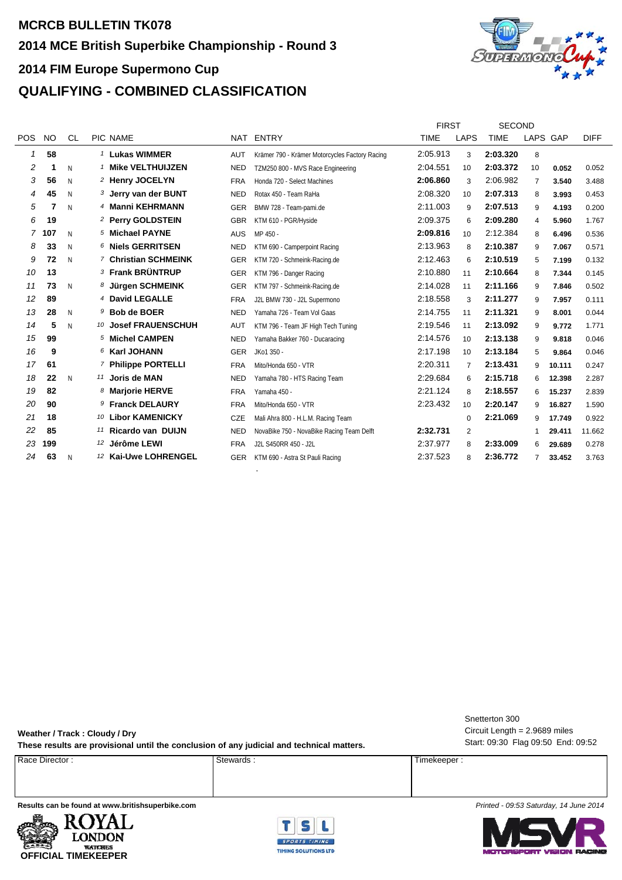## **MCRCB BULLETIN TK078 2014 FIM Europe Supermono Cup 2014 MCE British Superbike Championship - Round 3 QUALIFYING - COMBINED CLASSIFICATION**



|            |           |           |                                |            |                                                | <b>FIRST</b> |                | <b>SECOND</b> |          |        |             |
|------------|-----------|-----------|--------------------------------|------------|------------------------------------------------|--------------|----------------|---------------|----------|--------|-------------|
| <b>POS</b> | <b>NO</b> | <b>CL</b> | PIC NAME                       |            | NAT ENTRY                                      | <b>TIME</b>  | <b>LAPS</b>    | <b>TIME</b>   | LAPS GAP |        | <b>DIFF</b> |
| 1          | 58        |           | <sup>1</sup> Lukas WIMMER      | AUT        | Krämer 790 - Krämer Motorcycles Factory Racing | 2:05.913     | 3              | 2:03.320      | 8        |        |             |
| 2          |           | N         | <b>Mike VELTHUIJZEN</b>        | <b>NED</b> | TZM250 800 - MVS Race Engineering              | 2:04.551     | 10             | 2:03.372      | 10       | 0.052  | 0.052       |
| 3          | 56        | N         | <sup>2</sup> Henry JOCELYN     | <b>FRA</b> | Honda 720 - Select Machines                    | 2:06.860     | 3              | 2:06.982      | 7        | 3.540  | 3.488       |
| 4          | 45        | N         | 3 Jerry van der BUNT           | <b>NED</b> | Rotax 450 - Team RaHa                          | 2:08.320     | 10             | 2:07.313      | 8        | 3.993  | 0.453       |
| 5          |           | N         | 4 Manni KEHRMANN               | <b>GER</b> | BMW 728 - Team-pami.de                         | 2:11.003     | 9              | 2:07.513      | 9        | 4.193  | 0.200       |
| 6          | 19        |           | 2 Perry GOLDSTEIN              | <b>GBR</b> | KTM 610 - PGR/Hyside                           | 2:09.375     | 6              | 2:09.280      | 4        | 5.960  | 1.767       |
| 7          | 107       | N         | 5 Michael PAYNE                | <b>AUS</b> | MP 450 -                                       | 2:09.816     | 10             | 2:12.384      | 8        | 6.496  | 0.536       |
| 8          | 33        | N         | 6 Niels GERRITSEN              | <b>NED</b> | KTM 690 - Camperpoint Racing                   | 2:13.963     | 8              | 2:10.387      | 9        | 7.067  | 0.571       |
| 9          | 72        | N         | 7 Christian SCHMEINK           | <b>GER</b> | KTM 720 - Schmeink-Racing.de                   | 2:12.463     | 6              | 2:10.519      | 5        | 7.199  | 0.132       |
| 10         | 13        |           | <b>3 Frank BRÜNTRUP</b>        | <b>GER</b> | KTM 796 - Danger Racing                        | 2:10.880     | 11             | 2:10.664      | 8        | 7.344  | 0.145       |
| 11         | 73        | N         | 8 Jürgen SCHMEINK              | <b>GER</b> | KTM 797 - Schmeink-Racing.de                   | 2:14.028     | 11             | 2:11.166      | 9        | 7.846  | 0.502       |
| 12         | 89        |           | 4 David LEGALLE                | <b>FRA</b> | J2L BMW 730 - J2L Supermono                    | 2:18.558     | 3              | 2:11.277      | 9        | 7.957  | 0.111       |
| 13         | 28        | N         | 9 Bob de BOER                  | <b>NED</b> | Yamaha 726 - Team Vol Gaas                     | 2:14.755     | 11             | 2:11.321      | 9        | 8.001  | 0.044       |
| 14         | 5         | N         | 10 Josef FRAUENSCHUH           | AUT        | KTM 796 - Team JF High Tech Tuning             | 2:19.546     | 11             | 2:13.092      | 9        | 9.772  | 1.771       |
| 15         | 99        |           | 5 Michel CAMPEN                | <b>NED</b> | Yamaha Bakker 760 - Ducaracing                 | 2:14.576     | 10             | 2:13.138      | 9        | 9.818  | 0.046       |
| 16         | 9         |           | 6 Karl JOHANN                  | <b>GER</b> | JKo1 350 -                                     | 2:17.198     | 10             | 2:13.184      | 5        | 9.864  | 0.046       |
| 17         | 61        |           | <sup>7</sup> Philippe PORTELLI | <b>FRA</b> | Mito/Honda 650 - VTR                           | 2:20.311     | $\overline{7}$ | 2:13.431      | 9        | 10.111 | 0.247       |
| 18         | 22        | N         | 11 Joris de MAN                | <b>NED</b> | Yamaha 780 - HTS Racing Team                   | 2:29.684     | 6              | 2:15.718      | 6        | 12.398 | 2.287       |
| 19         | 82        |           | 8 Marjorie HERVE               | <b>FRA</b> | Yamaha 450 -                                   | 2:21.124     | 8              | 2:18.557      | 6        | 15.237 | 2.839       |
| 20         | 90        |           | 9 Franck DELAURY               | <b>FRA</b> | Mito/Honda 650 - VTR                           | 2:23.432     | 10             | 2:20.147      | 9        | 16.827 | 1.590       |
| 21         | 18        |           | 10 Libor KAMENICKY             | CZE        | Mali Ahra 800 - H.L.M. Racing Team             |              | $\mathbf 0$    | 2:21.069      | 9        | 17.749 | 0.922       |
| 22         | 85        |           | 11 Ricardo van DUIJN           | <b>NED</b> | NovaBike 750 - NovaBike Racing Team Delft      | 2:32.731     | 2              |               | 1        | 29.411 | 11.662      |
| 23         | 199       |           | <sup>12</sup> Jérôme LEWI      | <b>FRA</b> | J2L S450RR 450 - J2L                           | 2:37.977     | 8              | 2:33.009      | 6        | 29.689 | 0.278       |
| 24         | 63        | N         | 12 Kai-Uwe LOHRENGEL           | <b>GER</b> | KTM 690 - Astra St Pauli Racing                | 2:37.523     | 8              | 2:36.772      |          | 33.452 | 3.763       |
|            |           |           |                                |            |                                                |              |                |               |          |        |             |

-

**Weather / Track : Cloudy / Dry These results are provisional until the conclusion of any judicial and technical matters.** Start: 09:30 Flag 09:50 End: 09:52

Circuit Length = 2.9689 miles Snetterton 300

Proce Director : Timekeeper : Stewards : Stewards : Timekeeper : Timekeeper :

**Results can be found at www.britishsuperbike.com** *Printed - 09:53 Saturday, 14 June 2014*





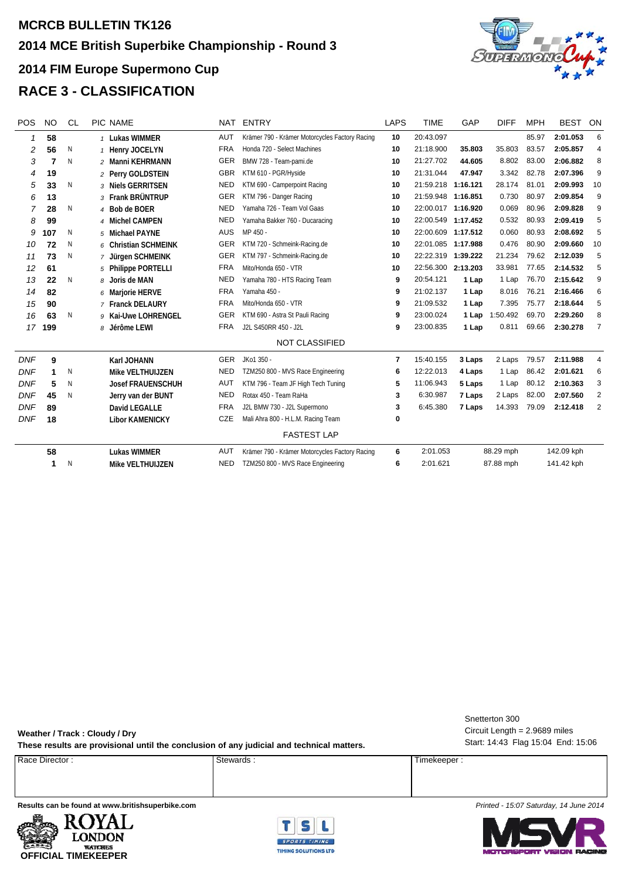## **MCRCB BULLETIN TK126 2014 FIM Europe Supermono Cup 2014 MCE British Superbike Championship - Round 3 RACE 3 - CLASSIFICATION**



| <b>POS</b> | <b>NO</b> | <b>CL</b> | PIC NAME                 | <b>NAT</b> | <b>ENTRY</b>                                   | LAPS           | <b>TIME</b>        | GAP       | <b>DIFF</b> | <b>MPH</b> | <b>BEST</b> | ON             |
|------------|-----------|-----------|--------------------------|------------|------------------------------------------------|----------------|--------------------|-----------|-------------|------------|-------------|----------------|
| 1          | 58        |           | 1 Lukas WIMMER           | AUT        | Krämer 790 - Krämer Motorcycles Factory Racing | 10             | 20:43.097          |           |             | 85.97      | 2:01.053    | 6              |
| 2          | 56        | N         | 1 Henry JOCELYN          | <b>FRA</b> | Honda 720 - Select Machines                    | 10             | 21:18.900          | 35.803    | 35.803      | 83.57      | 2:05.857    | $\overline{4}$ |
| 3          | 7         | N         | 2 Manni KEHRMANN         | <b>GER</b> | BMW 728 - Team-pami.de                         | 10             | 21:27.702          | 44.605    | 8.802       | 83.00      | 2:06.882    | 8              |
| 4          | 19        |           | 2 Perry GOLDSTEIN        | <b>GBR</b> | KTM 610 - PGR/Hyside                           | 10             | 21:31.044          | 47.947    | 3.342       | 82.78      | 2:07.396    | 9              |
| 5          | 33        | N         | 3 Niels GERRITSEN        | <b>NED</b> | KTM 690 - Camperpoint Racing                   | 10             | 21:59.218 1:16.121 |           | 28.174      | 81.01      | 2:09.993    | 10             |
| 6          | 13        |           | 3 Frank BRÜNTRUP         | <b>GER</b> | KTM 796 - Danger Racing                        | 10             | 21:59.948 1:16.851 |           | 0.730       | 80.97      | 2:09.854    | 9              |
| 7          | 28        | N         | 4 Bob de BOER            | <b>NED</b> | Yamaha 726 - Team Vol Gaas                     | 10             | 22:00.017 1:16.920 |           | 0.069       | 80.96      | 2:09.828    | 9              |
| 8          | 99        |           | 4 Michel CAMPEN          | <b>NED</b> | Yamaha Bakker 760 - Ducaracing                 | 10             | 22:00.549 1:17.452 |           | 0.532       | 80.93      | 2:09.419    | 5              |
| 9          | 107       | Ν         | 5 Michael PAYNE          | <b>AUS</b> | MP 450 -                                       | 10             | 22:00.609 1:17.512 |           | 0.060       | 80.93      | 2:08.692    | 5              |
| 10         | 72        | N         | 6 Christian SCHMEINK     | GER        | KTM 720 - Schmeink-Racing.de                   | 10             | 22:01.085 1:17.988 |           | 0.476       | 80.90      | 2:09.660    | 10             |
| 11         | 73        | N         | 7 Jürgen SCHMEINK        | GER        | KTM 797 - Schmeink-Racing.de                   | 10             | 22:22.319 1:39.222 |           | 21.234      | 79.62      | 2:12.039    | 5              |
| 12         | 61        |           | 5 Philippe PORTELLI      | <b>FRA</b> | Mito/Honda 650 - VTR                           | 10             | 22:56.300 2:13.203 |           | 33.981      | 77.65      | 2:14.532    | 5              |
| 13         | 22        | N         | 8 Joris de MAN           | <b>NED</b> | Yamaha 780 - HTS Racing Team                   | 9              | 20:54.121          | 1 Lap     | 1 Lap       | 76.70      | 2:15.642    | 9              |
| 14         | 82        |           | 6 Marjorie HERVE         | <b>FRA</b> | Yamaha 450 -                                   | 9              | 21:02.137          | 1 Lap     | 8.016       | 76.21      | 2:16.466    | 6              |
| 15         | 90        |           | 7 Franck DELAURY         | <b>FRA</b> | Mito/Honda 650 - VTR                           | 9              | 21:09.532          | 1 Lap     | 7.395       | 75.77      | 2:18.644    | 5              |
| 16         | 63        | N         | Kai-Uwe LOHRENGEL<br>9   | <b>GER</b> | KTM 690 - Astra St Pauli Racing                | 9              | 23:00.024          | 1 Lap     | 1:50.492    | 69.70      | 2:29.260    | 8              |
| 17         | 199       |           | 8 Jérôme LEWI            | <b>FRA</b> | J2L S450RR 450 - J2L                           | 9              | 23:00.835          | 1 Lap     | 0.811       | 69.66      | 2:30.278    | $\overline{7}$ |
|            |           |           |                          |            | <b>NOT CLASSIFIED</b>                          |                |                    |           |             |            |             |                |
| <b>DNF</b> | 9         |           | Karl JOHANN              | <b>GER</b> | JKo1 350 -                                     | $\overline{7}$ | 15:40.155          | 3 Laps    | 2 Laps      | 79.57      | 2:11.988    | $\overline{4}$ |
| <b>DNF</b> | 1         | N         | Mike VELTHUIJZEN         | <b>NED</b> | TZM250 800 - MVS Race Engineering              | 6              | 12:22.013          | 4 Laps    | 1 Lap       | 86.42      | 2:01.621    | 6              |
| <b>DNF</b> | 5         | N         | <b>Josef FRAUENSCHUH</b> | <b>AUT</b> | KTM 796 - Team JF High Tech Tuning             | 5              | 11:06.943          | 5 Laps    | 1 Lap       | 80.12      | 2:10.363    | 3              |
| <b>DNF</b> | 45        | N         | Jerry van der BUNT       | <b>NED</b> | Rotax 450 - Team RaHa                          | 3              | 6:30.987           | 7 Laps    | 2 Laps      | 82.00      | 2:07.560    | 2              |
| <b>DNF</b> | 89        |           | <b>David LEGALLE</b>     | <b>FRA</b> | J2L BMW 730 - J2L Supermono                    | 3              | 6:45.380           | 7 Laps    | 14.393      | 79.09      | 2:12.418    | 2              |
| <b>DNF</b> | 18        |           | <b>Libor KAMENICKY</b>   | <b>CZE</b> | Mali Ahra 800 - H.L.M. Racing Team             | 0              |                    |           |             |            |             |                |
|            |           |           |                          |            | <b>FASTEST LAP</b>                             |                |                    |           |             |            |             |                |
|            | 58        |           | <b>Lukas WIMMER</b>      | <b>AUT</b> | Krämer 790 - Krämer Motorcycles Factory Racing | 6              | 2:01.053           |           | 88.29 mph   |            | 142.09 kph  |                |
|            | 1         | Ν         | <b>Mike VELTHUIJZEN</b>  | <b>NED</b> | TZM250 800 - MVS Race Engineering              | 6              | 2:01.621           | 87.88 mph |             | 141.42 kph |             |                |

**Weather / Track : Cloudy / Dry These results are provisional until the conclusion of any judicial and technical matters.** Start: 14:43 Flag 15:04 End: 15:06

Circuit Length = 2.9689 miles Snetterton 300

Proce Director : Stewards : Stewards : Stewards : Timekeeper : Timekeeper :

**Results can be found at www.britishsuperbike.com** *Printed - 15:07 Saturday, 14 June 2014*